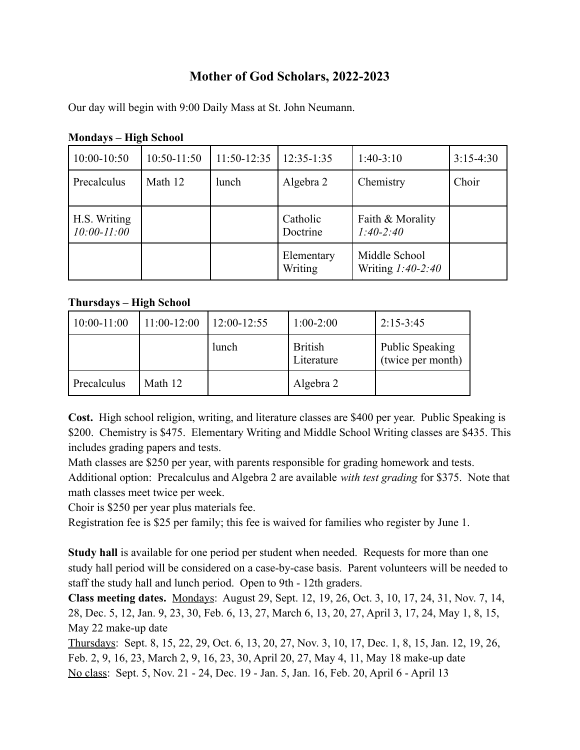# **Mother of God Scholars, 2022-2023**

Our day will begin with 9:00 Daily Mass at St. John Neumann.

| 10:00-10:50                     | 10:50-11:50 | $11:50-12:35$ | $12:35-1:35$          | $1:40-3:10$                          | $3:15-4:30$ |
|---------------------------------|-------------|---------------|-----------------------|--------------------------------------|-------------|
| Precalculus                     | Math 12     | lunch         | Algebra 2             | Chemistry                            | Choir       |
| H.S. Writing<br>$10:00 - 11:00$ |             |               | Catholic<br>Doctrine  | Faith & Morality<br>$1:40-2:40$      |             |
|                                 |             |               | Elementary<br>Writing | Middle School<br>Writing $1:40-2:40$ |             |

**Mondays – High School**

### **Thursdays – High School**

| $10:00-11:00$ | $11:00-12:00$ | $12:00-12:55$ | $1:00-2:00$                  | $2:15-3:45$                                 |
|---------------|---------------|---------------|------------------------------|---------------------------------------------|
|               |               | lunch         | <b>British</b><br>Literature | <b>Public Speaking</b><br>(twice per month) |
| Precalculus   | Math 12       |               | Algebra 2                    |                                             |

**Cost.** High school religion, writing, and literature classes are \$400 per year. Public Speaking is \$200. Chemistry is \$475. Elementary Writing and Middle School Writing classes are \$435. This includes grading papers and tests.

Math classes are \$250 per year, with parents responsible for grading homework and tests.

Additional option: Precalculus and Algebra 2 are available *with test grading* for \$375. Note that math classes meet twice per week.

Choir is \$250 per year plus materials fee.

Registration fee is \$25 per family; this fee is waived for families who register by June 1.

**Study hall** is available for one period per student when needed. Requests for more than one study hall period will be considered on a case-by-case basis. Parent volunteers will be needed to staff the study hall and lunch period. Open to 9th - 12th graders.

**Class meeting dates.** Mondays: August 29, Sept. 12, 19, 26, Oct. 3, 10, 17, 24, 31, Nov. 7, 14, 28, Dec. 5, 12, Jan. 9, 23, 30, Feb. 6, 13, 27, March 6, 13, 20, 27, April 3, 17, 24, May 1, 8, 15, May 22 make-up date

Thursdays: Sept. 8, 15, 22, 29, Oct. 6, 13, 20, 27, Nov. 3, 10, 17, Dec. 1, 8, 15, Jan. 12, 19, 26, Feb. 2, 9, 16, 23, March 2, 9, 16, 23, 30, April 20, 27, May 4, 11, May 18 make-up date No class: Sept. 5, Nov. 21 - 24, Dec. 19 - Jan. 5, Jan. 16, Feb. 20, April 6 - April 13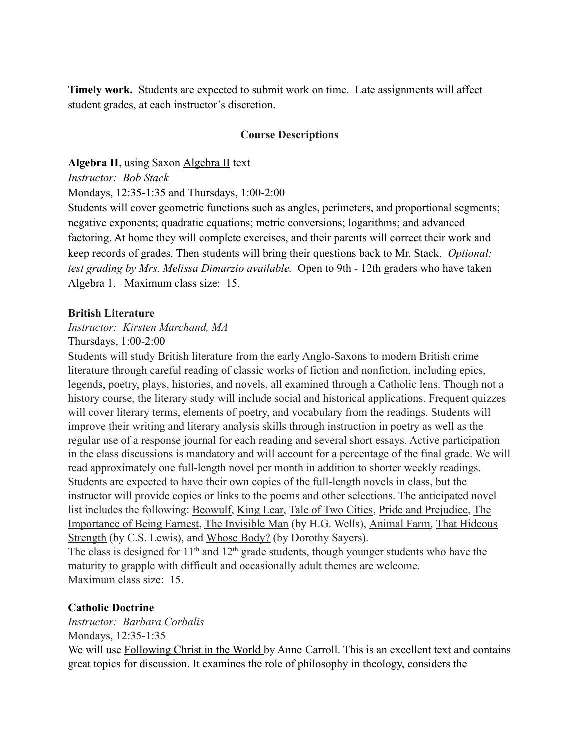**Timely work.** Students are expected to submit work on time. Late assignments will affect student grades, at each instructor's discretion.

#### **Course Descriptions**

**Algebra II**, using Saxon Algebra II text

*Instructor: Bob Stack*

Mondays, 12:35-1:35 and Thursdays, 1:00-2:00

Students will cover geometric functions such as angles, perimeters, and proportional segments; negative exponents; quadratic equations; metric conversions; logarithms; and advanced factoring. At home they will complete exercises, and their parents will correct their work and keep records of grades. Then students will bring their questions back to Mr. Stack. *Optional: test grading by Mrs. Melissa Dimarzio available.* Open to 9th - 12th graders who have taken Algebra 1. Maximum class size: 15.

#### **British Literature**

*Instructor: Kirsten Marchand, MA*

Thursdays, 1:00-2:00

Students will study British literature from the early Anglo-Saxons to modern British crime literature through careful reading of classic works of fiction and nonfiction, including epics, legends, poetry, plays, histories, and novels, all examined through a Catholic lens. Though not a history course, the literary study will include social and historical applications. Frequent quizzes will cover literary terms, elements of poetry, and vocabulary from the readings. Students will improve their writing and literary analysis skills through instruction in poetry as well as the regular use of a response journal for each reading and several short essays. Active participation in the class discussions is mandatory and will account for a percentage of the final grade. We will read approximately one full-length novel per month in addition to shorter weekly readings. Students are expected to have their own copies of the full-length novels in class, but the instructor will provide copies or links to the poems and other selections. The anticipated novel list includes the following: Beowulf, King Lear, Tale of Two Cities, Pride and Prejudice, The Importance of Being Earnest, The Invisible Man (by H.G. Wells), Animal Farm, That Hideous Strength (by C.S. Lewis), and Whose Body? (by Dorothy Sayers).

The class is designed for  $11<sup>th</sup>$  and  $12<sup>th</sup>$  grade students, though younger students who have the maturity to grapple with difficult and occasionally adult themes are welcome. Maximum class size: 15

### **Catholic Doctrine**

*Instructor: Barbara Corbalis* Mondays, 12:35-1:35 We will use Following Christ in the World by Anne Carroll. This is an excellent text and contains great topics for discussion. It examines the role of philosophy in theology, considers the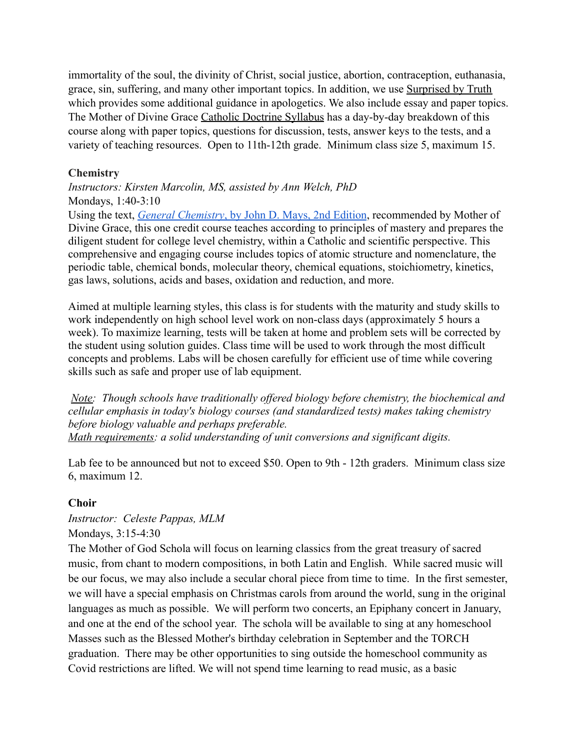immortality of the soul, the divinity of Christ, social justice, abortion, contraception, euthanasia, grace, sin, suffering, and many other important topics. In addition, we use Surprised by Truth which provides some additional guidance in apologetics. We also include essay and paper topics. The Mother of Divine Grace Catholic Doctrine Syllabus has a day-by-day breakdown of this course along with paper topics, questions for discussion, tests, answer keys to the tests, and a variety of teaching resources. Open to 11th-12th grade. Minimum class size 5, maximum 15.

### **Chemistry**

*Instructors: Kirsten Marcolin, MS, assisted by Ann Welch, PhD* Mondays, 1:40-3:10

Using the text, *[General Chemistry](https://www.amazon.com/General-Chemistry-John-D-Mays/dp/099728451X/ref=pd_vtp_1/141-4217006-3804635?pd_rd_w=OvySb&pf_rd_p=016e3697-91be-4dc2-9533-ef9350e7e73d&pf_rd_r=FGB8CWKF1W2S2ZVH1A49&pd_rd_r=a43a1157-c22e-4e5c-801e-97b1c98ad533&pd_rd_wg=rOYzn&pd_rd_i=099728451X&psc=1)*, by John D. Mays, 2nd Edition, recommended by Mother of Divine Grace, this one credit course teaches according to principles of mastery and prepares the diligent student for college level chemistry, within a Catholic and scientific perspective. This comprehensive and engaging course includes topics of atomic structure and nomenclature, the periodic table, chemical bonds, molecular theory, chemical equations, stoichiometry, kinetics, gas laws, solutions, acids and bases, oxidation and reduction, and more.

Aimed at multiple learning styles, this class is for students with the maturity and study skills to work independently on high school level work on non-class days (approximately 5 hours a week). To maximize learning, tests will be taken at home and problem sets will be corrected by the student using solution guides. Class time will be used to work through the most difficult concepts and problems. Labs will be chosen carefully for efficient use of time while covering skills such as safe and proper use of lab equipment.

*Note: Though schools have traditionally offered biology before chemistry, the biochemical and cellular emphasis in today's biology courses (and standardized tests) makes taking chemistry before biology valuable and perhaps preferable. Math requirements: a solid understanding of unit conversions and significant digits.*

Lab fee to be announced but not to exceed \$50. Open to 9th - 12th graders. Minimum class size 6, maximum 12.

### **Choir**

# *Instructor: Celeste Pappas, MLM*

Mondays, 3:15-4:30

The Mother of God Schola will focus on learning classics from the great treasury of sacred music, from chant to modern compositions, in both Latin and English. While sacred music will be our focus, we may also include a secular choral piece from time to time. In the first semester, we will have a special emphasis on Christmas carols from around the world, sung in the original languages as much as possible. We will perform two concerts, an Epiphany concert in January, and one at the end of the school year. The schola will be available to sing at any homeschool Masses such as the Blessed Mother's birthday celebration in September and the TORCH graduation. There may be other opportunities to sing outside the homeschool community as Covid restrictions are lifted. We will not spend time learning to read music, as a basic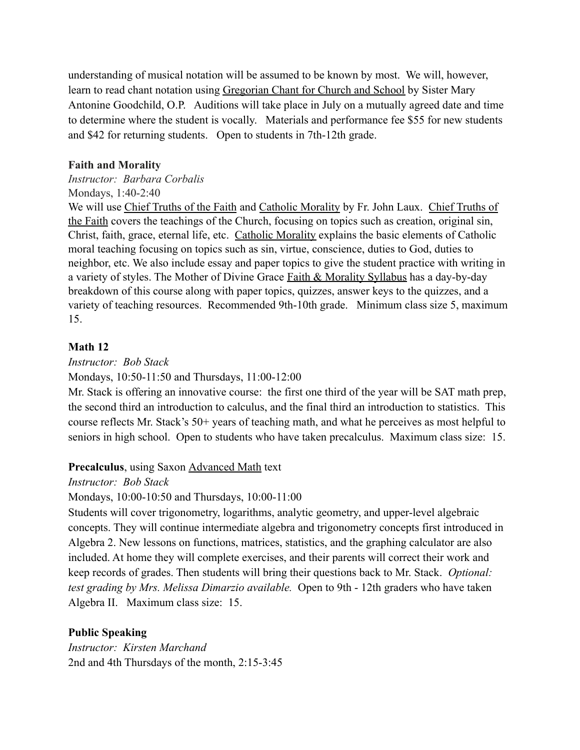understanding of musical notation will be assumed to be known by most. We will, however, learn to read chant notation using Gregorian Chant for Church and School by Sister Mary Antonine Goodchild, O.P. Auditions will take place in July on a mutually agreed date and time to determine where the student is vocally. Materials and performance fee \$55 for new students and \$42 for returning students. Open to students in 7th-12th grade.

### **Faith and Morality**

*Instructor: Barbara Corbalis* Mondays, 1:40-2:40

We will use Chief Truths of the Faith and Catholic Morality by Fr. John Laux. Chief Truths of the Faith covers the teachings of the Church, focusing on topics such as creation, original sin, Christ, faith, grace, eternal life, etc. Catholic Morality explains the basic elements of Catholic moral teaching focusing on topics such as sin, virtue, conscience, duties to God, duties to neighbor, etc. We also include essay and paper topics to give the student practice with writing in a variety of styles. The Mother of Divine Grace Faith & Morality Syllabus has a day-by-day breakdown of this course along with paper topics, quizzes, answer keys to the quizzes, and a variety of teaching resources. Recommended 9th-10th grade. Minimum class size 5, maximum 15.

#### **Math 12**

*Instructor: Bob Stack*

Mondays, 10:50-11:50 and Thursdays, 11:00-12:00

Mr. Stack is offering an innovative course: the first one third of the year will be SAT math prep, the second third an introduction to calculus, and the final third an introduction to statistics. This course reflects Mr. Stack's 50+ years of teaching math, and what he perceives as most helpful to seniors in high school. Open to students who have taken precalculus. Maximum class size: 15.

#### **Precalculus**, using Saxon Advanced Math text

*Instructor: Bob Stack*

Mondays, 10:00-10:50 and Thursdays, 10:00-11:00

Students will cover trigonometry, logarithms, analytic geometry, and upper-level algebraic concepts. They will continue intermediate algebra and trigonometry concepts first introduced in Algebra 2. New lessons on functions, matrices, statistics, and the graphing calculator are also included. At home they will complete exercises, and their parents will correct their work and keep records of grades. Then students will bring their questions back to Mr. Stack. *Optional: test grading by Mrs. Melissa Dimarzio available.* Open to 9th - 12th graders who have taken Algebra II. Maximum class size: 15.

### **Public Speaking**

*Instructor: Kirsten Marchand* 2nd and 4th Thursdays of the month, 2:15-3:45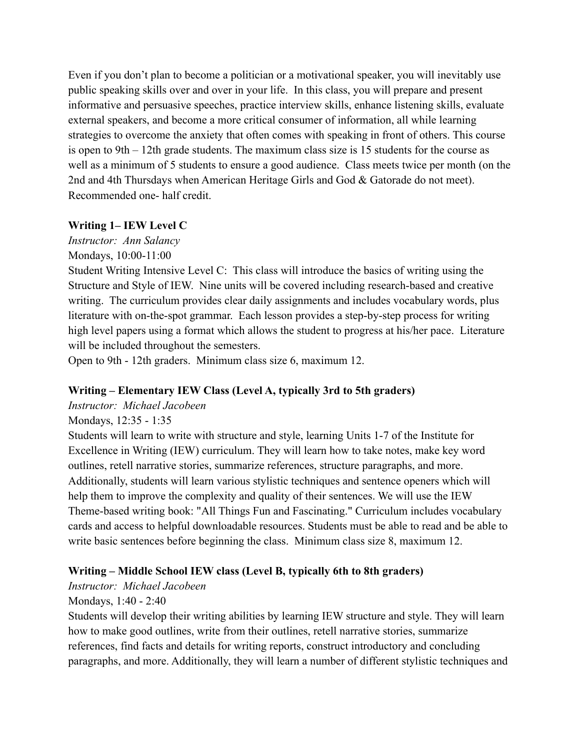Even if you don't plan to become a politician or a motivational speaker, you will inevitably use public speaking skills over and over in your life. In this class, you will prepare and present informative and persuasive speeches, practice interview skills, enhance listening skills, evaluate external speakers, and become a more critical consumer of information, all while learning strategies to overcome the anxiety that often comes with speaking in front of others. This course is open to 9th – 12th grade students. The maximum class size is 15 students for the course as well as a minimum of 5 students to ensure a good audience. Class meets twice per month (on the 2nd and 4th Thursdays when American Heritage Girls and God & Gatorade do not meet). Recommended one- half credit.

### **Writing 1– IEW Level C**

*Instructor: Ann Salancy*

Mondays, 10:00-11:00

Student Writing Intensive Level C: This class will introduce the basics of writing using the Structure and Style of IEW. Nine units will be covered including research-based and creative writing. The curriculum provides clear daily assignments and includes vocabulary words, plus literature with on-the-spot grammar. Each lesson provides a step-by-step process for writing high level papers using a format which allows the student to progress at his/her pace. Literature will be included throughout the semesters.

Open to 9th - 12th graders. Minimum class size 6, maximum 12.

# **Writing – Elementary IEW Class (Level A, typically 3rd to 5th graders)**

*Instructor: Michael Jacobeen*

# Mondays, 12:35 - 1:35

Students will learn to write with structure and style, learning Units 1-7 of the Institute for Excellence in Writing (IEW) curriculum. They will learn how to take notes, make key word outlines, retell narrative stories, summarize references, structure paragraphs, and more. Additionally, students will learn various stylistic techniques and sentence openers which will help them to improve the complexity and quality of their sentences. We will use the IEW Theme-based writing book: "All Things Fun and Fascinating." Curriculum includes vocabulary cards and access to helpful downloadable resources. Students must be able to read and be able to write basic sentences before beginning the class. Minimum class size 8, maximum 12.

# **Writing – Middle School IEW class (Level B, typically 6th to 8th graders)**

*Instructor: Michael Jacobeen*

# Mondays, 1:40 - 2:40

Students will develop their writing abilities by learning IEW structure and style. They will learn how to make good outlines, write from their outlines, retell narrative stories, summarize references, find facts and details for writing reports, construct introductory and concluding paragraphs, and more. Additionally, they will learn a number of different stylistic techniques and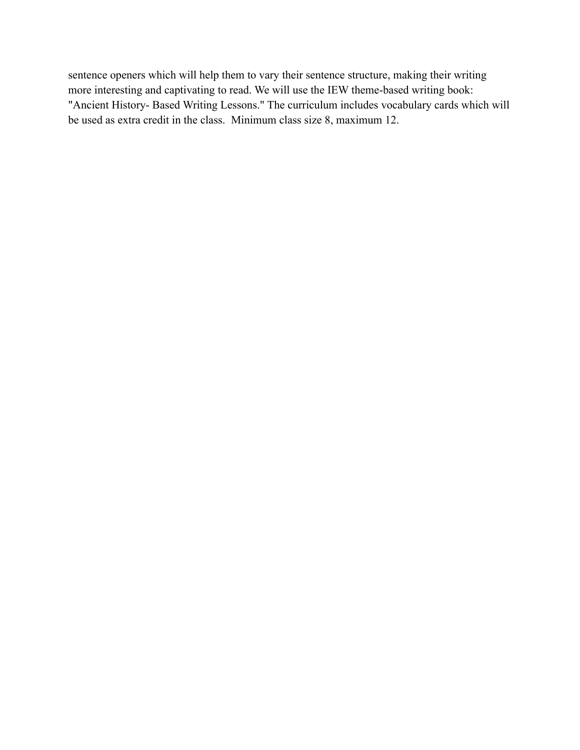sentence openers which will help them to vary their sentence structure, making their writing more interesting and captivating to read. We will use the IEW theme-based writing book: "Ancient History- Based Writing Lessons." The curriculum includes vocabulary cards which will be used as extra credit in the class. Minimum class size 8, maximum 12.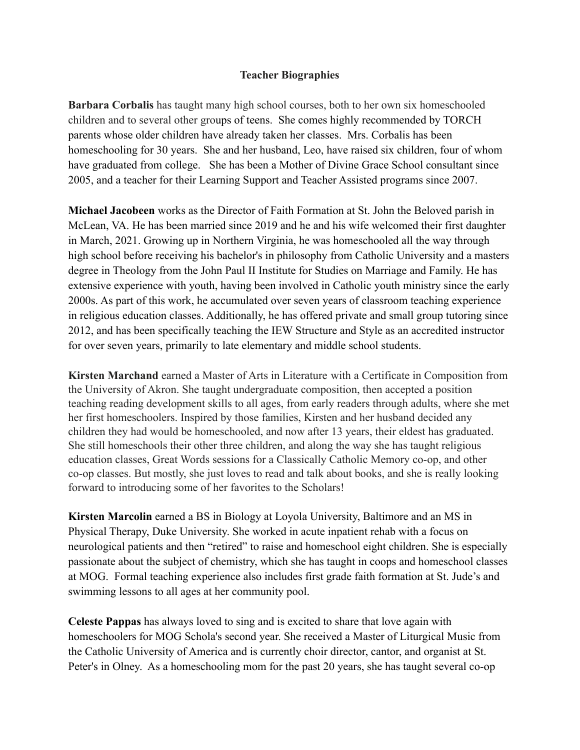#### **Teacher Biographies**

**Barbara Corbalis** has taught many high school courses, both to her own six homeschooled children and to several other groups of teens. She comes highly recommended by TORCH parents whose older children have already taken her classes. Mrs. Corbalis has been homeschooling for 30 years. She and her husband, Leo, have raised six children, four of whom have graduated from college. She has been a Mother of Divine Grace School consultant since 2005, and a teacher for their Learning Support and Teacher Assisted programs since 2007.

**Michael Jacobeen** works as the Director of Faith Formation at St. John the Beloved parish in McLean, VA. He has been married since 2019 and he and his wife welcomed their first daughter in March, 2021. Growing up in Northern Virginia, he was homeschooled all the way through high school before receiving his bachelor's in philosophy from Catholic University and a masters degree in Theology from the John Paul II Institute for Studies on Marriage and Family. He has extensive experience with youth, having been involved in Catholic youth ministry since the early 2000s. As part of this work, he accumulated over seven years of classroom teaching experience in religious education classes. Additionally, he has offered private and small group tutoring since 2012, and has been specifically teaching the IEW Structure and Style as an accredited instructor for over seven years, primarily to late elementary and middle school students.

**Kirsten Marchand** earned a Master of Arts in Literature with a Certificate in Composition from the University of Akron. She taught undergraduate composition, then accepted a position teaching reading development skills to all ages, from early readers through adults, where she met her first homeschoolers. Inspired by those families, Kirsten and her husband decided any children they had would be homeschooled, and now after 13 years, their eldest has graduated. She still homeschools their other three children, and along the way she has taught religious education classes, Great Words sessions for a Classically Catholic Memory co-op, and other co-op classes. But mostly, she just loves to read and talk about books, and she is really looking forward to introducing some of her favorites to the Scholars!

**Kirsten Marcolin** earned a BS in Biology at Loyola University, Baltimore and an MS in Physical Therapy, Duke University. She worked in acute inpatient rehab with a focus on neurological patients and then "retired" to raise and homeschool eight children. She is especially passionate about the subject of chemistry, which she has taught in coops and homeschool classes at MOG. Formal teaching experience also includes first grade faith formation at St. Jude's and swimming lessons to all ages at her community pool.

**Celeste Pappas** has always loved to sing and is excited to share that love again with homeschoolers for MOG Schola's second year. She received a Master of Liturgical Music from the Catholic University of America and is currently choir director, cantor, and organist at St. Peter's in Olney. As a homeschooling mom for the past 20 years, she has taught several co-op